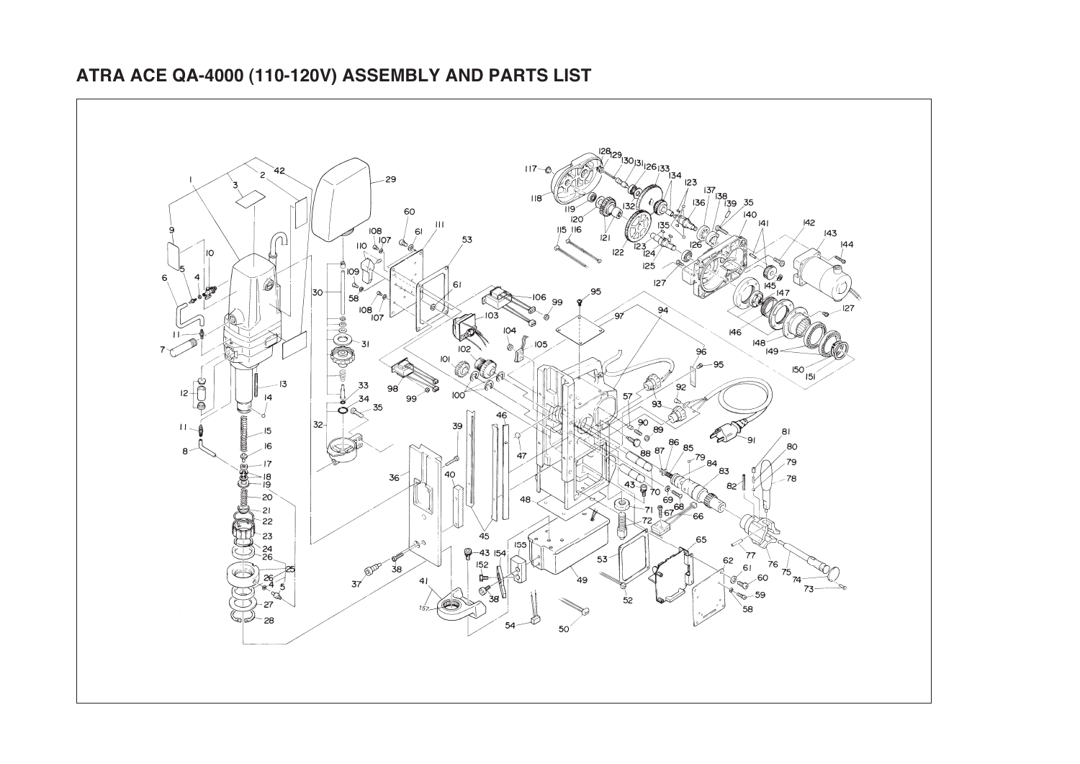## **ATRA ACE QA-4000 (110-120V) ASSEMBLY AND PARTS LIST**

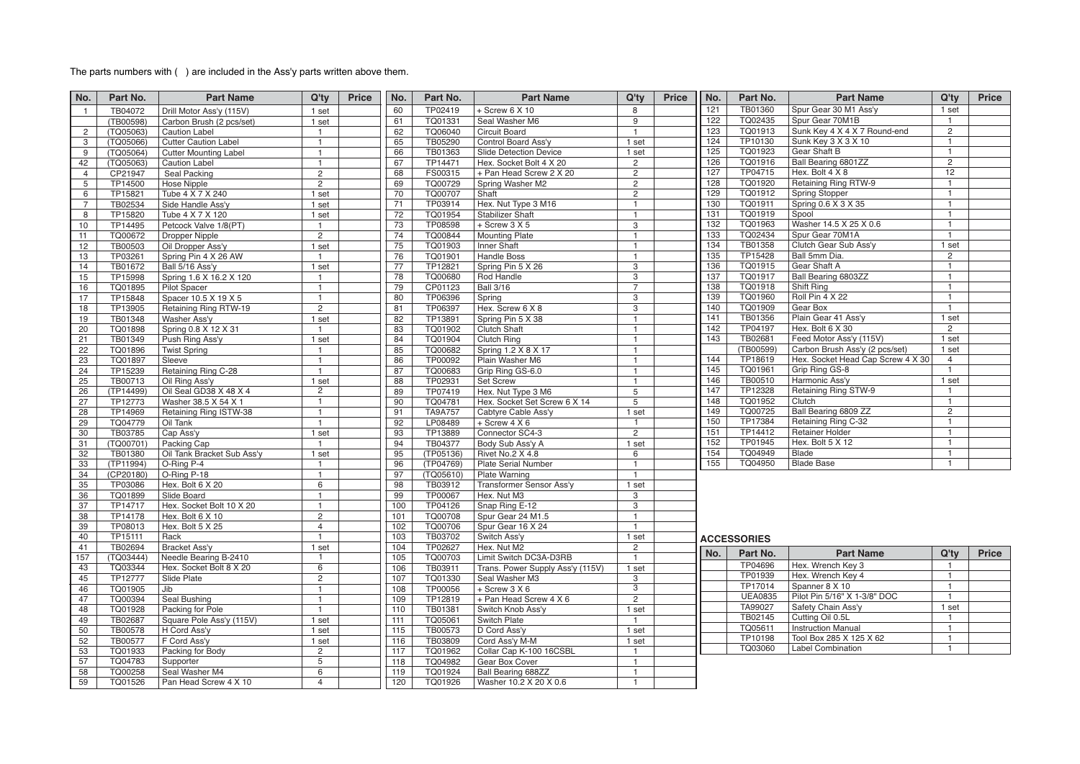## The parts numbers with ( ) are included in the Ass'y parts written above them.

| No.            | Part No.  | <b>Part Name</b>             | Q'ty           | <b>Price</b> | No.             | Part No.       | <b>Part Name</b>                 | Q'ty                  | <b>Price</b> | No. | Part No.           | <b>Part Name</b>                  | Q'ty            | <b>Price</b> |
|----------------|-----------|------------------------------|----------------|--------------|-----------------|----------------|----------------------------------|-----------------------|--------------|-----|--------------------|-----------------------------------|-----------------|--------------|
| $\overline{1}$ | TB04072   | Drill Motor Ass'y (115V)     | 1 set          |              | 60              | TP02419        | $+$ Screw 6 $X$ 10               | 8                     |              | 121 | TB01360            | Spur Gear 30 M1 Ass'y             | 1 set           |              |
|                | (TB00598) | Carbon Brush (2 pcs/set)     | 1 set          |              | 61              | TQ01331        | Seal Washer M6                   | 9                     |              | 122 | TQ02435            | Spur Gear 70M1B                   | $\mathbf{1}$    |              |
| $\overline{2}$ | (TQ05063) | <b>Caution Label</b>         | $\mathbf{1}$   |              | 62              | TQ06040        | Circuit Board                    | $\mathbf{1}$          |              | 123 | TQ01913            | Sunk Key 4 X 4 X 7 Round-end      | $\overline{2}$  |              |
| 3              | (TQ05066) | <b>Cutter Caution Label</b>  | $\mathbf{1}$   |              | 65              | TB05290        | Control Board Ass'y              | 1 set                 |              | 124 | TP10130            | Sunk Key 3 X 3 X 10               | $\mathbf{1}$    |              |
| 9              | (TQ05064) | <b>Cutter Mounting Label</b> | $\overline{1}$ |              | 66              | TB01363        | <b>Slide Detection Device</b>    | 1 set                 |              | 125 | TQ01923            | Gear Shaft B                      | $\overline{1}$  |              |
| 42             | (TQ05063) | <b>Caution Label</b>         | $\mathbf{1}$   |              | 67              | TP14471        | Hex. Socket Bolt 4 X 20          | $\mathbf{2}^{\prime}$ |              | 126 | TQ01916            | Ball Bearing 6801ZZ               | $\mathbf{2}$    |              |
| $\overline{4}$ | CP21947   | Seal Packing                 | $\mathbf{2}$   |              | 68              | FS00315        | + Pan Head Screw 2 X 20          | $\overline{2}$        |              | 127 | TP04715            | Hex. Bolt 4 X 8                   | $\overline{12}$ |              |
| 5              | TP14500   | Hose Nipple                  | $\overline{2}$ |              | 69              | TQ00729        | Spring Washer M2                 | $\mathbf{2}^{\prime}$ |              | 128 | TQ01920            | Retaining Ring RTW-9              | $\mathbf{1}$    |              |
| 6              | TP15821   | Tube 4 X 7 X 240             | 1 set          |              | 70              | TQ00707        | Shaft                            | $\overline{2}$        |              | 129 | TQ01912            | <b>Spring Stopper</b>             | $\mathbf{1}$    |              |
| $\overline{7}$ | TB02534   | Side Handle Ass'y            | 1 set          |              | 71              | TP03914        | Hex. Nut Type 3 M16              | $\mathbf{1}$          |              | 130 | TQ01911            | Spring 0.6 X 3 X 35               | $\mathbf{1}$    |              |
| 8              | TP15820   | Tube 4 X 7 X 120             | 1 set          |              | $\overline{72}$ | TQ01954        | <b>Stabilizer Shaft</b>          | $\mathbf{1}$          |              | 131 | TQ01919            | Spool                             | $\mathbf{1}$    |              |
| 10             | TP14495   | Petcock Valve 1/8(PT)        | $\overline{1}$ |              | 73              | TP08598        | $+$ Screw 3 X 5                  | $\mathbf{3}$          |              | 132 | TQ01963            | Washer 14.5 X 25 X 0.6            | $\mathbf{1}$    |              |
| 11             | TQ00672   | <b>Dropper Nipple</b>        | $\overline{2}$ |              | 74              | TQ00844        | <b>Mounting Plate</b>            | $\mathbf{1}$          |              | 133 | TQ02434            | Spur Gear 70M1A                   | $\mathbf{1}$    |              |
| 12             | TB00503   | Oil Dropper Ass'y            | 1 set          |              | 75              | TQ01903        | Inner Shaft                      | $\mathbf{1}$          |              | 134 | TB01358            | Clutch Gear Sub Ass'y             | 1 set           |              |
| 13             | TP03261   | Spring Pin 4 X 26 AW         | $\overline{1}$ |              | 76              | TQ01901        | <b>Handle Boss</b>               | $\overline{1}$        |              | 135 | TP15428            | Ball 5mm Dia.                     | $\overline{2}$  |              |
| 14             | TB01672   | Ball 5/16 Ass'y              | 1 set          |              | 77              | TP12821        | Spring Pin 5 X 26                | $\overline{3}$        |              | 136 | TQ01915            | Gear Shaft A                      | $\mathbf{1}$    |              |
| 15             | TP15998   | Spring 1.6 X 16.2 X 120      | $\mathbf{1}$   |              | 78              | TQ00680        | Rod Handle                       | 3                     |              | 137 | TQ01917            | Ball Bearing 6803ZZ               | $\mathbf{1}$    |              |
| 16             | TQ01895   | <b>Pilot Spacer</b>          | $\mathbf{1}$   |              | 79              | CP01123        | <b>Ball 3/16</b>                 | $\overline{7}$        |              | 138 | TQ01918            | Shift Ring                        | $\mathbf{1}$    |              |
| 17             | TP15848   | Spacer 10.5 X 19 X 5         | $\mathbf{1}$   |              | 80              | TP06396        | Spring                           | $\overline{3}$        |              | 139 | TQ01960            | Roll Pin 4 X 22                   | $\mathbf{1}$    |              |
| 18             | TP13905   | Retaining Ring RTW-19        | $\overline{2}$ |              | 81              | TP06397        | Hex. Screw 6 X 8                 | 3                     |              | 140 | TQ01909            | Gear Box                          | $\mathbf{1}$    |              |
| 19             | TB01348   | Washer Ass'y                 | 1 set          |              | 82              | TP13891        | Spring Pin 5 X 38                | $\mathbf{1}$          |              | 141 | TB01356            | Plain Gear 41 Ass'y               | 1 set           |              |
| 20             | TQ01898   | Spring 0.8 X 12 X 31         | $\mathbf{1}$   |              | 83              | TQ01902        | <b>Clutch Shaft</b>              | $\mathbf{1}$          |              | 142 | TP04197            | Hex. Bolt 6 X 30                  | $\overline{2}$  |              |
| 21             | TB01349   | Push Ring Ass'y              | 1 set          |              | 84              | TQ01904        | <b>Clutch Ring</b>               | $\mathbf{1}$          |              | 143 | TB02681            | Feed Motor Ass'y (115V)           | 1 set           |              |
| 22             | TQ01896   | <b>Twist Spring</b>          | $\mathbf{1}$   |              | 85              | TQ00682        | Spring 1.2 X 8 X 17              | $\mathbf{1}$          |              |     | (TB00599)          | Carbon Brush Ass'y (2 pcs/set)    | 1 set           |              |
| 23             | TQ01897   | Sleeve                       | $\mathbf{1}$   |              | 86              | TP00092        | Plain Washer M6                  | $\mathbf{1}$          |              | 144 | TP18619            | Hex. Socket Head Cap Screw 4 X 30 | $\overline{4}$  |              |
| 24             | TP15239   | Retaining Ring C-28          | $\mathbf{1}$   |              | 87              | TQ00683        | Grip Ring GS-6.0                 | $\overline{1}$        |              | 145 | TQ01961            | Grip Ring GS-8                    | $\mathbf{1}$    |              |
| 25             | TB00713   | Oil Ring Ass'y               | 1 set          |              | 88              | TP02931        | <b>Set Screw</b>                 | $\mathbf{1}$          |              | 146 | TB00510            | Harmonic Ass'y                    | 1 set           |              |
| 26             | (TP14499) | Oil Seal GD38 X 48 X 4       | $\overline{2}$ |              | 89              | TP07419        | Hex. Nut Type 3 M6               | 5                     |              | 147 | TP12328            | Retaining Ring STW-9              | $\mathbf{1}$    |              |
| 27             | TP12773   | Washer 38.5 X 54 X 1         | $\overline{1}$ |              | 90              | TQ04781        | Hex. Socket Set Screw 6 X 14     | 5                     |              | 148 | TQ01952            | Clutch                            | $\mathbf{1}$    |              |
| 28             | TP14969   | Retaining Ring ISTW-38       | $\overline{1}$ |              | 91              | <b>TA9A757</b> | Cabtyre Cable Ass'y              | 1 set                 |              | 149 | TQ00725            | Ball Bearing 6809 ZZ              | $\overline{2}$  |              |
| 29             | TQ04779   | Oil Tank                     | $\mathbf{1}$   |              | 92              | LP08489        | $+$ Screw 4 X 6                  | $\mathbf{1}$          |              | 150 | TP17384            | Retaining Ring C-32               | $\mathbf{1}$    |              |
| 30             | TB03785   | Cap Ass'y                    | 1 set          |              | 93              | TP13889        | Connector SC4-3                  | $\overline{2}$        |              | 151 | TP14412            | <b>Retainer Holder</b>            | $\mathbf{1}$    |              |
| 31             | (TQ00701) | Packing Cap                  | $\mathbf{1}$   |              | 94              | TB04377        | Body Sub Ass'y A                 | 1 set                 |              | 152 | TP01945            | Hex. Bolt 5 X 12                  | $\mathbf{1}$    |              |
| 32             | TB01380   | Oil Tank Bracket Sub Ass'y   | 1 set          |              | 95              | (TP05136)      | Rivet No.2 X 4.8                 | 6                     |              | 154 | TQ04949            | Blade                             | $\mathbf{1}$    |              |
| 33             | (TP11994) | O-Ring P-4                   | $\mathbf{1}$   |              | 96              | (TP04769)      | <b>Plate Serial Number</b>       | $\mathbf{1}$          |              | 155 | TQ04950            | <b>Blade Base</b>                 | $\mathbf{1}$    |              |
| 34             | (CP20180) | O-Ring P-18                  | $\mathbf{1}$   |              | 97              | (TQ05610)      | Plate Warning                    | $\mathbf{1}$          |              |     |                    |                                   |                 |              |
| 35             | TP03086   | Hex. Bolt 6 X 20             | 6              |              | 98              | TB03912        | Transformer Sensor Ass'y         | 1 set                 |              |     |                    |                                   |                 |              |
| 36             | TQ01899   | Slide Board                  | $\mathbf{1}$   |              | 99              | TP00067        | Hex. Nut M3                      | 3                     |              |     |                    |                                   |                 |              |
| 37             | TP14717   | Hex. Socket Bolt 10 X 20     | $\mathbf{1}$   |              | 100             | TP04126        | Snap Ring E-12                   | 3                     |              |     |                    |                                   |                 |              |
| 38             | TP14178   | Hex. Bolt 6 X 10             | $\overline{2}$ |              | 101             | TQ00708        | Spur Gear 24 M1.5                | $\mathbf{1}$          |              |     |                    |                                   |                 |              |
| 39             | TP08013   | Hex. Bolt 5 X 25             | $\overline{4}$ |              | 102             | TQ00706        | Spur Gear 16 X 24                | $\mathbf{1}$          |              |     |                    |                                   |                 |              |
| 40             | TP15111   | Rack                         | $\overline{1}$ |              | 103             | TB03702        | Switch Ass'y                     | 1 set                 |              |     | <b>ACCESSORIES</b> |                                   |                 |              |
| 41             | TB02694   | <b>Bracket Ass'y</b>         | 1 set          |              | 104             | TP02627        | Hex. Nut M2                      | $\overline{2}$        |              |     |                    |                                   |                 |              |
| 157            | (TQ03444) | Needle Bearing B-2410        | 1              |              | 105             | TQ00703        | Limit Switch DC3A-D3RB           | $\mathbf{1}$          |              | No. | Part No.           | <b>Part Name</b>                  | Q'ty            | <b>Price</b> |
| 43             | TQ03344   | Hex. Socket Bolt 8 X 20      | $\overline{6}$ |              | 106             | TB03911        | Trans. Power Supply Ass'y (115V) | 1 set                 |              |     | TP04696            | Hex. Wrench Key 3                 | $\mathbf{1}$    |              |
| 45             | TP12777   | Slide Plate                  | $\overline{2}$ |              | 107             | TQ01330        | Seal Washer M3                   | 3                     |              |     | TP01939            | Hex. Wrench Key 4                 | $\mathbf{1}$    |              |
| 46             | TQ01905   | Jib                          | $\mathbf{1}$   |              | 108             | TP00056        | $+$ Screw 3 X 6                  | $\overline{3}$        |              |     | TP17014            | Spanner 8 X 10                    | $\overline{1}$  |              |
| 47             | TQ00394   | Seal Bushing                 | $\mathbf{1}$   |              | 109             | TP12819        | + Pan Head Screw 4 X 6           | $\overline{2}$        |              |     | <b>UEA0835</b>     | Pilot Pin 5/16" X 1-3/8" DOC      | $\mathbf{1}$    |              |
| 48             | TQ01928   | Packing for Pole             | $\mathbf{1}$   |              | 110             | TB01381        | Switch Knob Ass'y                | 1 set                 |              |     | TA99027            | Safety Chain Ass'y                | 1 set           |              |
| 49             | TB02687   | Square Pole Ass'y (115V)     | 1 set          |              | 111             | TQ05061        | Switch Plate                     | $\overline{1}$        |              |     | TB02145            | Cutting Oil 0.5L                  | $\mathbf{1}$    |              |
| 50             | TB00578   | H Cord Ass'y                 | 1 set          |              | 115             | TB00573        | D Cord Ass'y                     | 1 set                 |              |     | TQ05611            | <b>Instruction Manual</b>         | $\mathbf{1}$    |              |
| 52             | TB00577   | F Cord Ass'y                 | 1 set          |              | 116             | TB03809        | Cord Ass'y M-M                   | 1 set                 |              |     | TP10198            | Tool Box 285 X 125 X 62           | $\mathbf{1}$    |              |
| 53             | TQ01933   | Packing for Body             | $\overline{2}$ |              | 117             | TQ01962        | Collar Cap K-100 16CSBL          | $\overline{1}$        |              |     | TQ03060            | <b>Label Combination</b>          | $\mathbf{1}$    |              |
| 57             | TQ04783   | Supporter                    | 5              |              | 118             | TQ04982        | Gear Box Cover                   | $\mathbf{1}$          |              |     |                    |                                   |                 |              |
| 58             | TQ00258   | Seal Washer M4               | 6              |              | 119             | TQ01924        | Ball Bearing 688ZZ               | $\mathbf{1}$          |              |     |                    |                                   |                 |              |
| 59             | TQ01526   | Pan Head Screw 4 X 10        | $\overline{4}$ |              | 120             | TQ01926        | Washer 10.2 X 20 X 0.6           | $\mathbf{1}$          |              |     |                    |                                   |                 |              |
|                |           |                              |                |              |                 |                |                                  |                       |              |     |                    |                                   |                 |              |